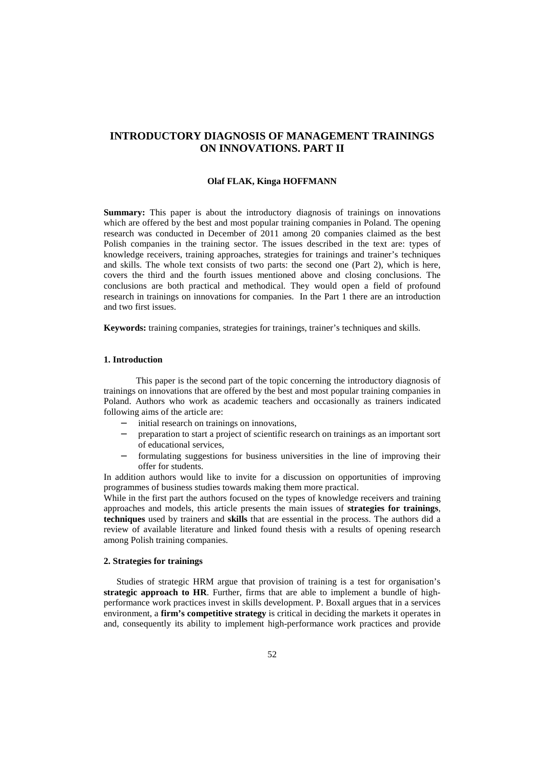# **INTRODUCTORY DIAGNOSIS OF MANAGEMENT TRAININGS ON INNOVATIONS. PART II**

#### **Olaf FLAK, Kinga HOFFMANN**

**Summary:** This paper is about the introductory diagnosis of trainings on innovations which are offered by the best and most popular training companies in Poland. The opening research was conducted in December of 2011 among 20 companies claimed as the best Polish companies in the training sector. The issues described in the text are: types of knowledge receivers, training approaches, strategies for trainings and trainer's techniques and skills. The whole text consists of two parts: the second one (Part 2), which is here, covers the third and the fourth issues mentioned above and closing conclusions. The conclusions are both practical and methodical. They would open a field of profound research in trainings on innovations for companies. In the Part 1 there are an introduction and two first issues.

**Keywords:** training companies, strategies for trainings, trainer's techniques and skills.

## **1. Introduction**

 This paper is the second part of the topic concerning the introductory diagnosis of trainings on innovations that are offered by the best and most popular training companies in Poland. Authors who work as academic teachers and occasionally as trainers indicated following aims of the article are:

- − initial research on trainings on innovations,
- − preparation to start a project of scientific research on trainings as an important sort of educational services,
- formulating suggestions for business universities in the line of improving their offer for students.

In addition authors would like to invite for a discussion on opportunities of improving programmes of business studies towards making them more practical.

While in the first part the authors focused on the types of knowledge receivers and training approaches and models, this article presents the main issues of **strategies for trainings**, **techniques** used by trainers and **skills** that are essential in the process. The authors did a review of available literature and linked found thesis with a results of opening research among Polish training companies.

#### **2. Strategies for trainings**

 Studies of strategic HRM argue that provision of training is a test for organisation's **strategic approach to HR**. Further, firms that are able to implement a bundle of highperformance work practices invest in skills development. P. Boxall argues that in a services environment, a **firm's competitive strategy** is critical in deciding the markets it operates in and, consequently its ability to implement high-performance work practices and provide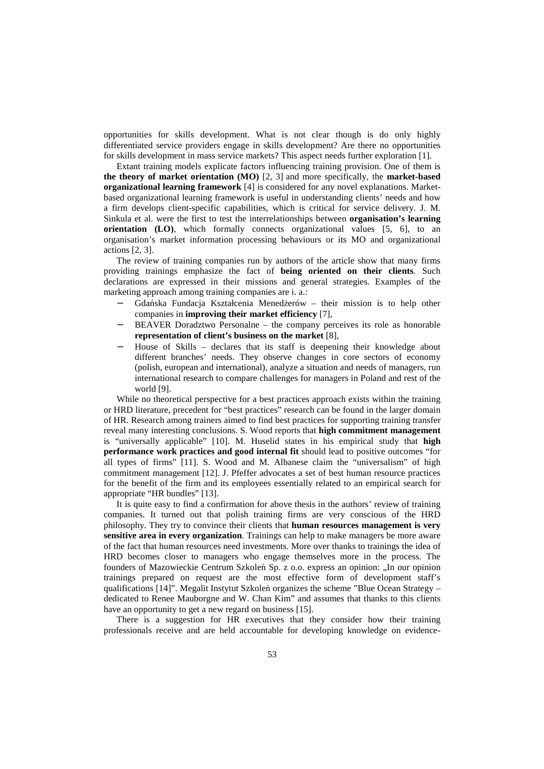opportunities for skills development. What is not clear though is do only highly differentiated service providers engage in skills development? Are there no opportunities for skills development in mass service markets? This aspect needs further exploration [1].

 Extant training models explicate factors influencing training provision. One of them is **the theory of market orientation (MO)** [2, 3] and more specifically, the **market-based organizational learning framework** [4] is considered for any novel explanations. Marketbased organizational learning framework is useful in understanding clients' needs and how a firm develops client-specific capabilities, which is critical for service delivery. J. M. Sinkula et al. were the first to test the interrelationships between **organisation's learning orientation** (LO), which formally connects organizational values [5, 6], to an organisation's market information processing behaviours or its MO and organizational actions [2, 3].

 The review of training companies run by authors of the article show that many firms providing trainings emphasize the fact of **being oriented on their clients**. Such declarations are expressed in their missions and general strategies. Examples of the marketing approach among training companies are i. a.:

- − Gdańska Fundacja Kształcenia Menedżerów their mission is to help other companies in **improving their market efficiency** [7],
- BEAVER Doradztwo Personalne the company perceives its role as honorable **representation of client's business on the market** [8],
- − House of Skills declares that its staff is deepening their knowledge about different branches' needs. They observe changes in core sectors of economy (polish, european and international), analyze a situation and needs of managers, run international research to compare challenges for managers in Poland and rest of the world [9].

 While no theoretical perspective for a best practices approach exists within the training or HRD literature, precedent for "best practices" research can be found in the larger domain of HR. Research among trainers aimed to find best practices for supporting training transfer reveal many interesting conclusions. S. Wood reports that **high commitment management** is "universally applicable" [10]. M. Huselid states in his empirical study that **high performance work practices and good internal fit** should lead to positive outcomes "for all types of firms" [11]. S. Wood and M. Albanese claim the "universalism" of high commitment management [12]. J. Pfeffer advocates a set of best human resource practices for the benefit of the firm and its employees essentially related to an empirical search for appropriate "HR bundles" [13].

 It is quite easy to find a confirmation for above thesis in the authors' review of training companies. It turned out that polish training firms are very conscious of the HRD philosophy. They try to convince their clients that **human resources management is very sensitive area in every organization**. Trainings can help to make managers be more aware of the fact that human resources need investments. More over thanks to trainings the idea of HRD becomes closer to managers who engage themselves more in the process. The founders of Mazowieckie Centrum Szkoleń Sp. z o.o. express an opinion: "In our opinion trainings prepared on request are the most effective form of development staff's qualifications [14]". Megalit Instytut Szkoleń organizes the scheme "Blue Ocean Strategy – dedicated to Renee Mauborgne and W. Chan Kim" and assumes that thanks to this clients have an opportunity to get a new regard on business [15].

 There is a suggestion for HR executives that they consider how their training professionals receive and are held accountable for developing knowledge on evidence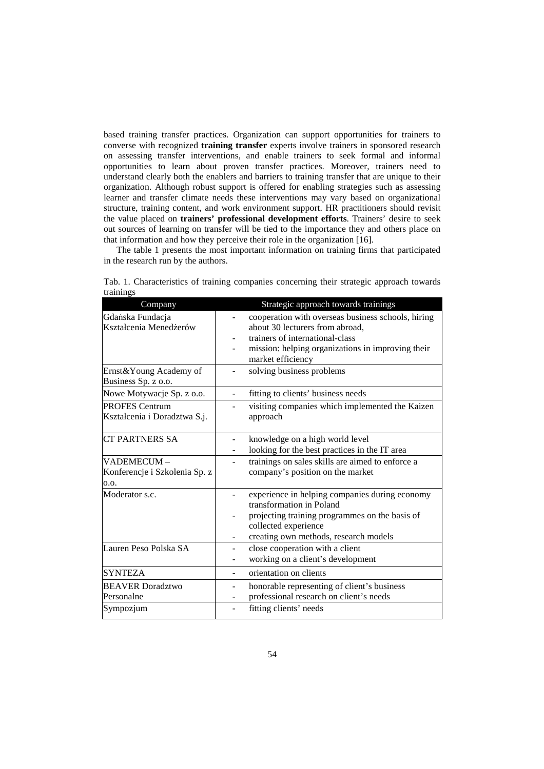based training transfer practices. Organization can support opportunities for trainers to converse with recognized **training transfer** experts involve trainers in sponsored research on assessing transfer interventions, and enable trainers to seek formal and informal opportunities to learn about proven transfer practices. Moreover, trainers need to understand clearly both the enablers and barriers to training transfer that are unique to their organization. Although robust support is offered for enabling strategies such as assessing learner and transfer climate needs these interventions may vary based on organizational structure, training content, and work environment support. HR practitioners should revisit the value placed on **trainers' professional development efforts**. Trainers' desire to seek out sources of learning on transfer will be tied to the importance they and others place on that information and how they perceive their role in the organization [16].

 The table 1 presents the most important information on training firms that participated in the research run by the authors.

| Company                                               | Strategic approach towards trainings                                                                                                                                                          |
|-------------------------------------------------------|-----------------------------------------------------------------------------------------------------------------------------------------------------------------------------------------------|
| Gdańska Fundacja<br>Kształcenia Menedżerów            | cooperation with overseas business schools, hiring<br>about 30 lecturers from abroad,<br>trainers of international-class<br>mission: helping organizations in improving their                 |
|                                                       | market efficiency                                                                                                                                                                             |
| Ernst&Young Academy of<br>Business Sp. z o.o.         | solving business problems                                                                                                                                                                     |
| Nowe Motywacje Sp. z o.o.                             | fitting to clients' business needs                                                                                                                                                            |
| <b>PROFES Centrum</b><br>Kształcenia i Doradztwa S.j. | visiting companies which implemented the Kaizen<br>approach                                                                                                                                   |
| <b>CT PARTNERS SA</b>                                 | knowledge on a high world level<br>looking for the best practices in the IT area                                                                                                              |
| VADEMECUM-<br>Konferencje i Szkolenia Sp. z<br>0.0.   | trainings on sales skills are aimed to enforce a<br>company's position on the market                                                                                                          |
| Moderator s.c.                                        | experience in helping companies during economy<br>transformation in Poland<br>projecting training programmes on the basis of<br>collected experience<br>creating own methods, research models |
| Lauren Peso Polska SA                                 | close cooperation with a client<br>-<br>working on a client's development                                                                                                                     |
| <b>SYNTEZA</b>                                        | orientation on clients<br>$\overline{\phantom{0}}$                                                                                                                                            |
| <b>BEAVER Doradztwo</b><br>Personalne                 | honorable representing of client's business<br>-<br>professional research on client's needs                                                                                                   |
| Sympozjum                                             | fitting clients' needs                                                                                                                                                                        |

Tab. 1. Characteristics of training companies concerning their strategic approach towards trainings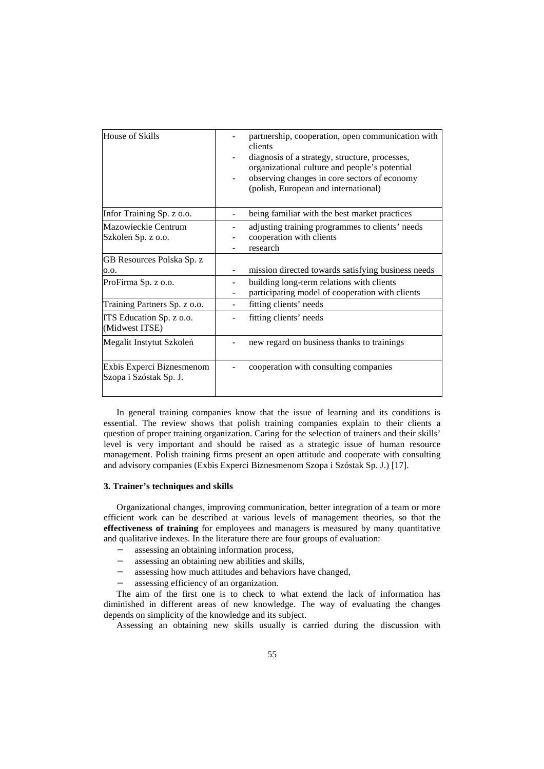| House of Skills                                     | partnership, cooperation, open communication with<br>clients<br>diagnosis of a strategy, structure, processes,<br>organizational culture and people's potential<br>observing changes in core sectors of economy<br>(polish, European and international) |
|-----------------------------------------------------|---------------------------------------------------------------------------------------------------------------------------------------------------------------------------------------------------------------------------------------------------------|
| Infor Training Sp. z o.o.                           | being familiar with the best market practices                                                                                                                                                                                                           |
| Mazowieckie Centrum<br>Szkoleń Sp. z o.o.           | adjusting training programmes to clients' needs<br>cooperation with clients<br>research                                                                                                                                                                 |
| GB Resources Polska Sp. z                           |                                                                                                                                                                                                                                                         |
| 0.0.                                                | mission directed towards satisfying business needs                                                                                                                                                                                                      |
| ProFirma Sp. z o.o.                                 | building long-term relations with clients<br>participating model of cooperation with clients                                                                                                                                                            |
| Training Partners Sp. z o.o.                        | fitting clients' needs                                                                                                                                                                                                                                  |
| ITS Education Sp. z o.o.<br>(Midwest ITSE)          | fitting clients' needs                                                                                                                                                                                                                                  |
| Megalit Instytut Szkoleń                            | new regard on business thanks to trainings                                                                                                                                                                                                              |
| Exbis Experci Biznesmenom<br>Szopa i Szóstak Sp. J. | cooperation with consulting companies                                                                                                                                                                                                                   |

 In general training companies know that the issue of learning and its conditions is essential. The review shows that polish training companies explain to their clients a question of proper training organization. Caring for the selection of trainers and their skills' level is very important and should be raised as a strategic issue of human resource management. Polish training firms present an open attitude and cooperate with consulting and advisory companies (Exbis Experci Biznesmenom Szopa i Szóstak Sp. J.) [17].

### **3. Trainer's techniques and skills**

 Organizational changes, improving communication, better integration of a team or more efficient work can be described at various levels of management theories, so that the **effectiveness of training** for employees and managers is measured by many quantitative and qualitative indexes. In the literature there are four groups of evaluation:

- − assessing an obtaining information process,
- assessing an obtaining new abilities and skills,
- − assessing how much attitudes and behaviors have changed,
- assessing efficiency of an organization.

 The aim of the first one is to check to what extend the lack of information has diminished in different areas of new knowledge. The way of evaluating the changes depends on simplicity of the knowledge and its subject.

Assessing an obtaining new skills usually is carried during the discussion with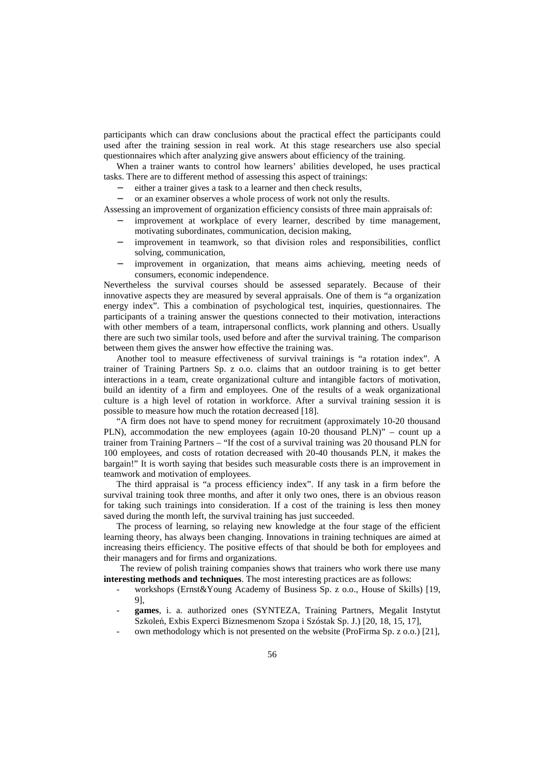participants which can draw conclusions about the practical effect the participants could used after the training session in real work. At this stage researchers use also special questionnaires which after analyzing give answers about efficiency of the training.

 When a trainer wants to control how learners' abilities developed, he uses practical tasks. There are to different method of assessing this aspect of trainings:

either a trainer gives a task to a learner and then check results,

or an examiner observes a whole process of work not only the results.

Assessing an improvement of organization efficiency consists of three main appraisals of:

- improvement at workplace of every learner, described by time management, motivating subordinates, communication, decision making,
- improvement in teamwork, so that division roles and responsibilities, conflict solving, communication,
- improvement in organization, that means aims achieving, meeting needs of consumers, economic independence.

Nevertheless the survival courses should be assessed separately. Because of their innovative aspects they are measured by several appraisals. One of them is "a organization energy index". This a combination of psychological test, inquiries, questionnaires. The participants of a training answer the questions connected to their motivation, interactions with other members of a team, intrapersonal conflicts, work planning and others. Usually there are such two similar tools, used before and after the survival training. The comparison between them gives the answer how effective the training was.

 Another tool to measure effectiveness of survival trainings is "a rotation index". A trainer of Training Partners Sp. z o.o. claims that an outdoor training is to get better interactions in a team, create organizational culture and intangible factors of motivation, build an identity of a firm and employees. One of the results of a weak organizational culture is a high level of rotation in workforce. After a survival training session it is possible to measure how much the rotation decreased [18].

 "A firm does not have to spend money for recruitment (approximately 10-20 thousand PLN), accommodation the new employees (again 10-20 thousand PLN)" – count up a trainer from Training Partners – "If the cost of a survival training was 20 thousand PLN for 100 employees, and costs of rotation decreased with 20-40 thousands PLN, it makes the bargain!" It is worth saying that besides such measurable costs there is an improvement in teamwork and motivation of employees.

 The third appraisal is "a process efficiency index". If any task in a firm before the survival training took three months, and after it only two ones, there is an obvious reason for taking such trainings into consideration. If a cost of the training is less then money saved during the month left, the survival training has just succeeded.

 The process of learning, so relaying new knowledge at the four stage of the efficient learning theory, has always been changing. Innovations in training techniques are aimed at increasing theirs efficiency. The positive effects of that should be both for employees and their managers and for firms and organizations.

The review of polish training companies shows that trainers who work there use many **interesting methods and techniques**. The most interesting practices are as follows:

- workshops (Ernst&Young Academy of Business Sp. z o.o., House of Skills) [19, 9],
- **games**, i. a. authorized ones (SYNTEZA, Training Partners, Megalit Instytut Szkoleń, Exbis Experci Biznesmenom Szopa i Szóstak Sp. J.) [20, 18, 15, 17],
- own methodology which is not presented on the website (ProFirma Sp. z o.o.) [21],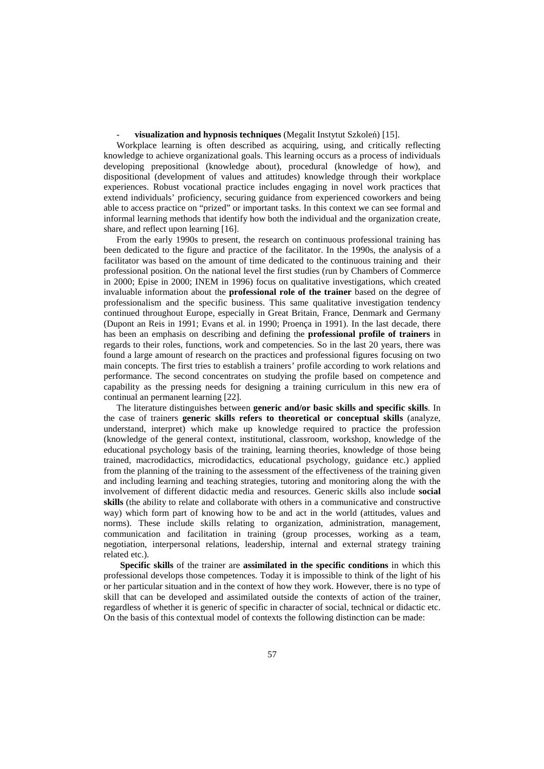## visualization and hypnosis techniques (Megalit Instytut Szkoleń) [15].

 Workplace learning is often described as acquiring, using, and critically reflecting knowledge to achieve organizational goals. This learning occurs as a process of individuals developing prepositional (knowledge about), procedural (knowledge of how), and dispositional (development of values and attitudes) knowledge through their workplace experiences. Robust vocational practice includes engaging in novel work practices that extend individuals' proficiency, securing guidance from experienced coworkers and being able to access practice on "prized" or important tasks. In this context we can see formal and informal learning methods that identify how both the individual and the organization create, share, and reflect upon learning [16].

 From the early 1990s to present, the research on continuous professional training has been dedicated to the figure and practice of the facilitator. In the 1990s, the analysis of a facilitator was based on the amount of time dedicated to the continuous training and their professional position. On the national level the first studies (run by Chambers of Commerce in 2000; Epise in 2000; INEM in 1996) focus on qualitative investigations, which created invaluable information about the **professional role of the trainer** based on the degree of professionalism and the specific business. This same qualitative investigation tendency continued throughout Europe, especially in Great Britain, France, Denmark and Germany (Dupont an Reis in 1991; Evans et al. in 1990; Proença in 1991). In the last decade, there has been an emphasis on describing and defining the **professional profile of trainers** in regards to their roles, functions, work and competencies. So in the last 20 years, there was found a large amount of research on the practices and professional figures focusing on two main concepts. The first tries to establish a trainers' profile according to work relations and performance. The second concentrates on studying the profile based on competence and capability as the pressing needs for designing a training curriculum in this new era of continual an permanent learning [22].

 The literature distinguishes between **generic and/or basic skills and specific skills**. In the case of trainers **generic skills refers to theoretical or conceptual skills** (analyze, understand, interpret) which make up knowledge required to practice the profession (knowledge of the general context, institutional, classroom, workshop, knowledge of the educational psychology basis of the training, learning theories, knowledge of those being trained, macrodidactics, microdidactics, educational psychology, guidance etc.) applied from the planning of the training to the assessment of the effectiveness of the training given and including learning and teaching strategies, tutoring and monitoring along the with the involvement of different didactic media and resources. Generic skills also include **social skills** (the ability to relate and collaborate with others in a communicative and constructive way) which form part of knowing how to be and act in the world (attitudes, values and norms). These include skills relating to organization, administration, management, communication and facilitation in training (group processes, working as a team, negotiation, interpersonal relations, leadership, internal and external strategy training related etc.).

**Specific skills** of the trainer are **assimilated in the specific conditions** in which this professional develops those competences. Today it is impossible to think of the light of his or her particular situation and in the context of how they work. However, there is no type of skill that can be developed and assimilated outside the contexts of action of the trainer, regardless of whether it is generic of specific in character of social, technical or didactic etc. On the basis of this contextual model of contexts the following distinction can be made: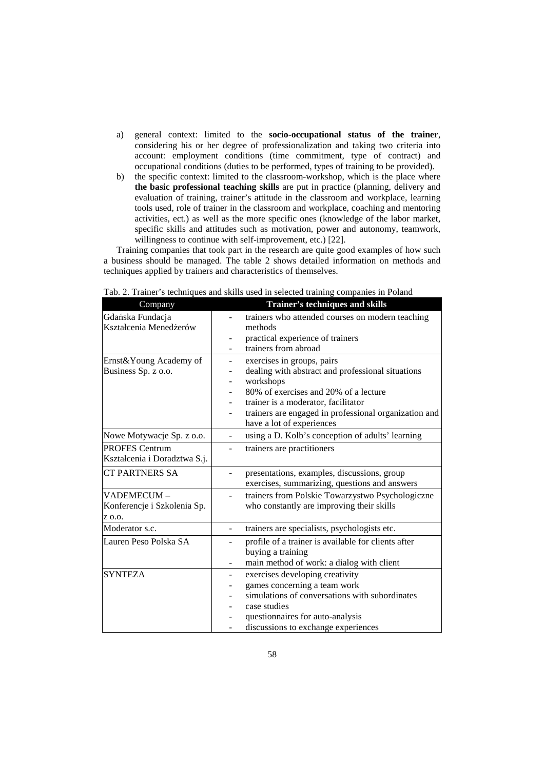- a) general context: limited to the **socio-occupational status of the trainer**, considering his or her degree of professionalization and taking two criteria into account: employment conditions (time commitment, type of contract) and occupational conditions (duties to be performed, types of training to be provided).
- b) the specific context: limited to the classroom-workshop, which is the place where **the basic professional teaching skills** are put in practice (planning, delivery and evaluation of training, trainer's attitude in the classroom and workplace, learning tools used, role of trainer in the classroom and workplace, coaching and mentoring activities, ect.) as well as the more specific ones (knowledge of the labor market, specific skills and attitudes such as motivation, power and autonomy, teamwork, willingness to continue with self-improvement, etc.) [22].

 Training companies that took part in the research are quite good examples of how such a business should be managed. The table 2 shows detailed information on methods and techniques applied by trainers and characteristics of themselves.

| Company                                               | Trainer's techniques and skills                                                                                                                                                                                                                                    |
|-------------------------------------------------------|--------------------------------------------------------------------------------------------------------------------------------------------------------------------------------------------------------------------------------------------------------------------|
| Gdańska Fundacja<br>Kształcenia Menedżerów            | trainers who attended courses on modern teaching<br>methods<br>practical experience of trainers<br>trainers from abroad                                                                                                                                            |
| Ernst&Young Academy of<br>Business Sp. z o.o.         | exercises in groups, pairs<br>dealing with abstract and professional situations<br>workshops<br>80% of exercises and 20% of a lecture<br>trainer is a moderator, facilitator<br>trainers are engaged in professional organization and<br>have a lot of experiences |
| Nowe Motywacje Sp. z o.o.                             | using a D. Kolb's conception of adults' learning<br>$\overline{\phantom{a}}$                                                                                                                                                                                       |
| <b>PROFES</b> Centrum<br>Kształcenia i Doradztwa S.j. | trainers are practitioners                                                                                                                                                                                                                                         |
| <b>CT PARTNERS SA</b>                                 | presentations, examples, discussions, group<br>exercises, summarizing, questions and answers                                                                                                                                                                       |
| VADEMECUM-<br>Konferencje i Szkolenia Sp.<br>Z 0.0.   | trainers from Polskie Towarzystwo Psychologiczne<br>who constantly are improving their skills                                                                                                                                                                      |
| Moderator s.c.                                        | trainers are specialists, psychologists etc.<br>÷,                                                                                                                                                                                                                 |
| Lauren Peso Polska SA                                 | profile of a trainer is available for clients after<br>buying a training<br>main method of work: a dialog with client                                                                                                                                              |
| <b>SYNTEZA</b>                                        | exercises developing creativity<br>-<br>games concerning a team work<br>simulations of conversations with subordinates<br>case studies<br>questionnaires for auto-analysis<br>discussions to exchange experiences                                                  |

Tab. 2. Trainer's techniques and skills used in selected training companies in Poland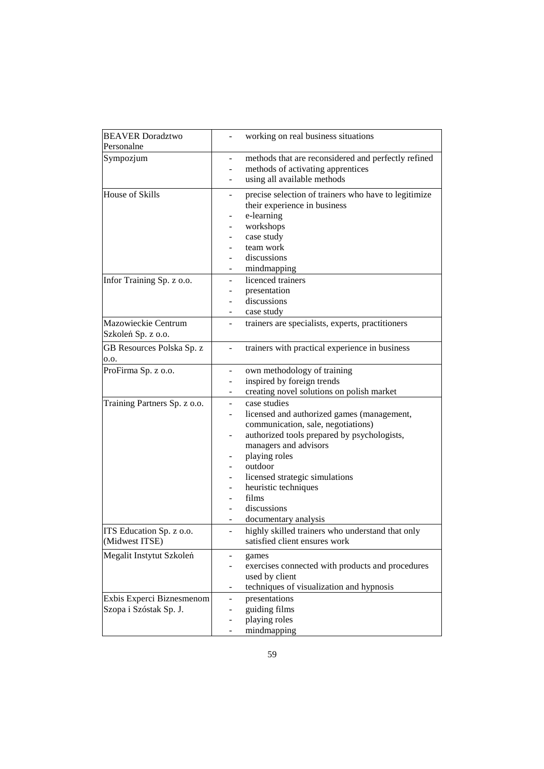| <b>BEAVER Doradztwo</b>                             | working on real business situations                                                                                                                                                                                                                                                                                              |
|-----------------------------------------------------|----------------------------------------------------------------------------------------------------------------------------------------------------------------------------------------------------------------------------------------------------------------------------------------------------------------------------------|
| Personalne                                          |                                                                                                                                                                                                                                                                                                                                  |
| Sympozjum                                           | methods that are reconsidered and perfectly refined<br>methods of activating apprentices<br>using all available methods                                                                                                                                                                                                          |
| House of Skills                                     | precise selection of trainers who have to legitimize<br>their experience in business<br>e-learning<br>workshops<br>case study<br>team work<br>discussions<br>mindmapping                                                                                                                                                         |
| Infor Training Sp. z o.o.                           | licenced trainers<br>presentation<br>discussions<br>case study                                                                                                                                                                                                                                                                   |
| Mazowieckie Centrum<br>Szkoleń Sp. z o.o.           | trainers are specialists, experts, practitioners<br>-                                                                                                                                                                                                                                                                            |
| GB Resources Polska Sp. z<br>0.0.                   | trainers with practical experience in business                                                                                                                                                                                                                                                                                   |
| ProFirma Sp. z o.o.                                 | own methodology of training<br>۰<br>inspired by foreign trends<br>creating novel solutions on polish market                                                                                                                                                                                                                      |
| Training Partners Sp. z o.o.                        | case studies<br>$\overline{a}$<br>licensed and authorized games (management,<br>communication, sale, negotiations)<br>authorized tools prepared by psychologists,<br>managers and advisors<br>playing roles<br>outdoor<br>licensed strategic simulations<br>heuristic techniques<br>films<br>discussions<br>documentary analysis |
| ITS Education Sp. z o.o.<br>(Midwest ITSE)          | highly skilled trainers who understand that only<br>satisfied client ensures work                                                                                                                                                                                                                                                |
| Megalit Instytut Szkoleń                            | games<br>exercises connected with products and procedures<br>used by client<br>techniques of visualization and hypnosis<br>-                                                                                                                                                                                                     |
| Exbis Experci Biznesmenom<br>Szopa i Szóstak Sp. J. | presentations<br>-<br>guiding films<br>playing roles<br>-<br>mindmapping<br>-                                                                                                                                                                                                                                                    |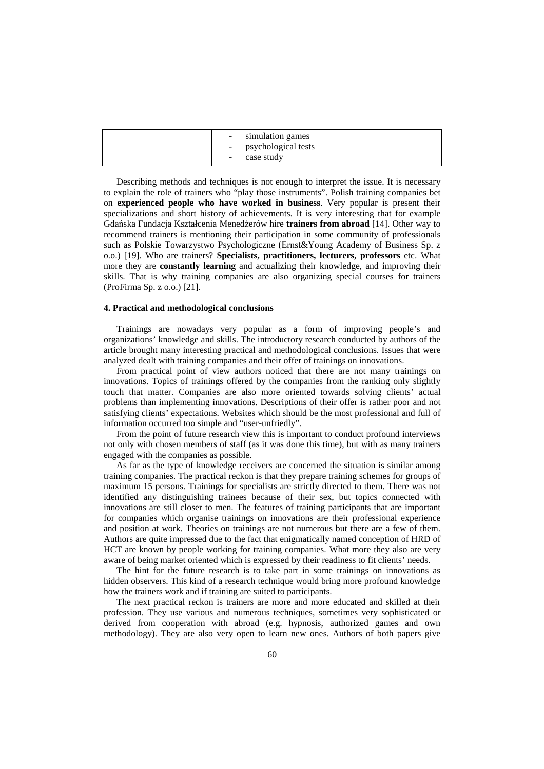| simulation games<br>$\sim$<br>- psychological tests<br>case study<br>$\overline{\phantom{a}}$ |
|-----------------------------------------------------------------------------------------------|
|                                                                                               |

 Describing methods and techniques is not enough to interpret the issue. It is necessary to explain the role of trainers who "play those instruments". Polish training companies bet on **experienced people who have worked in business**. Very popular is present their specializations and short history of achievements. It is very interesting that for example Gdańska Fundacja Kształcenia Menedżerów hire **trainers from abroad** [14]. Other way to recommend trainers is mentioning their participation in some community of professionals such as Polskie Towarzystwo Psychologiczne (Ernst&Young Academy of Business Sp. z o.o.) [19]. Who are trainers? **Specialists, practitioners, lecturers, professors** etc. What more they are **constantly learning** and actualizing their knowledge, and improving their skills. That is why training companies are also organizing special courses for trainers (ProFirma Sp. z o.o.) [21].

### **4. Practical and methodological conclusions**

 Trainings are nowadays very popular as a form of improving people's and organizations' knowledge and skills. The introductory research conducted by authors of the article brought many interesting practical and methodological conclusions. Issues that were analyzed dealt with training companies and their offer of trainings on innovations.

 From practical point of view authors noticed that there are not many trainings on innovations. Topics of trainings offered by the companies from the ranking only slightly touch that matter. Companies are also more oriented towards solving clients' actual problems than implementing innovations. Descriptions of their offer is rather poor and not satisfying clients' expectations. Websites which should be the most professional and full of information occurred too simple and "user-unfriedly".

 From the point of future research view this is important to conduct profound interviews not only with chosen members of staff (as it was done this time), but with as many trainers engaged with the companies as possible.

 As far as the type of knowledge receivers are concerned the situation is similar among training companies. The practical reckon is that they prepare training schemes for groups of maximum 15 persons. Trainings for specialists are strictly directed to them. There was not identified any distinguishing trainees because of their sex, but topics connected with innovations are still closer to men. The features of training participants that are important for companies which organise trainings on innovations are their professional experience and position at work. Theories on trainings are not numerous but there are a few of them. Authors are quite impressed due to the fact that enigmatically named conception of HRD of HCT are known by people working for training companies. What more they also are very aware of being market oriented which is expressed by their readiness to fit clients' needs.

 The hint for the future research is to take part in some trainings on innovations as hidden observers. This kind of a research technique would bring more profound knowledge how the trainers work and if training are suited to participants.

 The next practical reckon is trainers are more and more educated and skilled at their profession. They use various and numerous techniques, sometimes very sophisticated or derived from cooperation with abroad (e.g. hypnosis, authorized games and own methodology). They are also very open to learn new ones. Authors of both papers give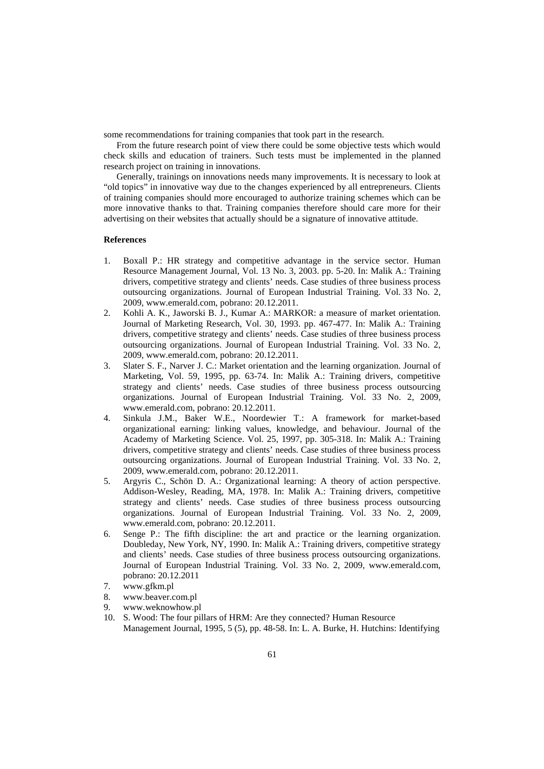some recommendations for training companies that took part in the research.

 From the future research point of view there could be some objective tests which would check skills and education of trainers. Such tests must be implemented in the planned research project on training in innovations.

 Generally, trainings on innovations needs many improvements. It is necessary to look at "old topics" in innovative way due to the changes experienced by all entrepreneurs. Clients of training companies should more encouraged to authorize training schemes which can be more innovative thanks to that. Training companies therefore should care more for their advertising on their websites that actually should be a signature of innovative attitude.

#### **References**

- 1. Boxall P.: HR strategy and competitive advantage in the service sector. Human Resource Management Journal, Vol. 13 No. 3, 2003. pp. 5-20. In: Malik A.: Training drivers, competitive strategy and clients' needs. Case studies of three business process outsourcing organizations. Journal of European Industrial Training. Vol. 33 No. 2, 2009, www.emerald.com, pobrano: 20.12.2011.
- 2. Kohli A. K., Jaworski B. J., Kumar A.: MARKOR: a measure of market orientation. Journal of Marketing Research, Vol. 30, 1993. pp. 467-477. In: Malik A.: Training drivers, competitive strategy and clients' needs. Case studies of three business process outsourcing organizations. Journal of European Industrial Training. Vol. 33 No. 2, 2009, www.emerald.com, pobrano: 20.12.2011.
- 3. Slater S. F., Narver J. C.: Market orientation and the learning organization. Journal of Marketing, Vol. 59, 1995, pp. 63-74. In: Malik A.: Training drivers, competitive strategy and clients' needs. Case studies of three business process outsourcing organizations. Journal of European Industrial Training. Vol. 33 No. 2, 2009, www.emerald.com, pobrano: 20.12.2011.
- 4. Sinkula J.M., Baker W.E., Noordewier T.: A framework for market-based organizational earning: linking values, knowledge, and behaviour. Journal of the Academy of Marketing Science. Vol. 25, 1997, pp. 305-318. In: Malik A.: Training drivers, competitive strategy and clients' needs. Case studies of three business process outsourcing organizations. Journal of European Industrial Training. Vol. 33 No. 2, 2009, www.emerald.com, pobrano: 20.12.2011.
- 5. Argyris C., Schön D. A.: Organizational learning: A theory of action perspective. Addison-Wesley, Reading, MA, 1978. In: Malik A.: Training drivers, competitive strategy and clients' needs. Case studies of three business process outsourcing organizations. Journal of European Industrial Training. Vol. 33 No. 2, 2009, www.emerald.com, pobrano: 20.12.2011.
- 6. Senge P.: The fifth discipline: the art and practice or the learning organization. Doubleday, New York, NY, 1990. In: Malik A.: Training drivers, competitive strategy and clients' needs. Case studies of three business process outsourcing organizations. Journal of European Industrial Training. Vol. 33 No. 2, 2009, www.emerald.com, pobrano: 20.12.2011
- 7. www.gfkm.pl
- 8. www.beaver.com.pl
- 9. www.weknowhow.pl
- 10. S. Wood: The four pillars of HRM: Are they connected? Human Resource Management Journal, 1995, 5 (5), pp. 48-58. In: L. A. Burke, H. Hutchins: Identifying